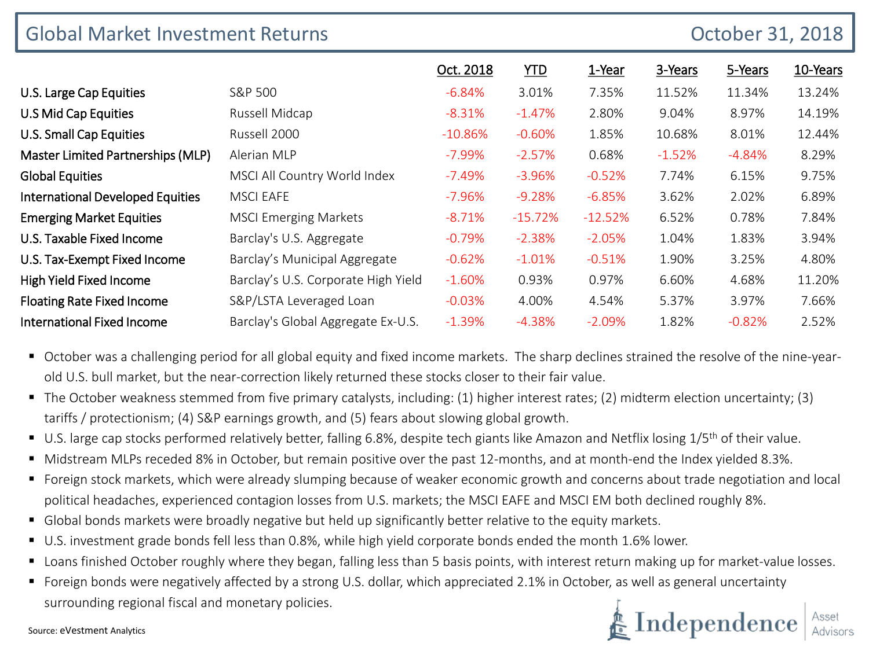| <b>Global Market Investment Returns</b><br>October 31, 2018 |                                     |           |            |           |          |          |          |
|-------------------------------------------------------------|-------------------------------------|-----------|------------|-----------|----------|----------|----------|
|                                                             |                                     | Oct. 2018 | <b>YTD</b> | 1-Year    | 3-Years  | 5-Years  | 10-Years |
| U.S. Large Cap Equities                                     | S&P 500                             | $-6.84%$  | 3.01%      | 7.35%     | 11.52%   | 11.34%   | 13.24%   |
| U.S Mid Cap Equities                                        | Russell Midcap                      | $-8.31%$  | $-1.47%$   | 2.80%     | 9.04%    | 8.97%    | 14.19%   |
| U.S. Small Cap Equities                                     | Russell 2000                        | $-10.86%$ | $-0.60%$   | 1.85%     | 10.68%   | 8.01%    | 12.44%   |
| Master Limited Partnerships (MLP)                           | Alerian MLP                         | $-7.99\%$ | $-2.57%$   | 0.68%     | $-1.52%$ | $-4.84%$ | 8.29%    |
| <b>Global Equities</b>                                      | MSCI All Country World Index        | $-7.49\%$ | $-3.96%$   | $-0.52%$  | 7.74%    | 6.15%    | 9.75%    |
| <b>International Developed Equities</b>                     | <b>MSCI EAFE</b>                    | $-7.96%$  | $-9.28%$   | $-6.85%$  | 3.62%    | 2.02%    | 6.89%    |
| <b>Emerging Market Equities</b>                             | <b>MSCI Emerging Markets</b>        | $-8.71%$  | $-15.72%$  | $-12.52%$ | 6.52%    | 0.78%    | 7.84%    |
| U.S. Taxable Fixed Income                                   | Barclay's U.S. Aggregate            | $-0.79%$  | $-2.38%$   | $-2.05%$  | 1.04%    | 1.83%    | 3.94%    |
| U.S. Tax-Exempt Fixed Income                                | Barclay's Municipal Aggregate       | $-0.62%$  | $-1.01%$   | $-0.51%$  | 1.90%    | 3.25%    | 4.80%    |
| High Yield Fixed Income                                     | Barclay's U.S. Corporate High Yield | $-1.60%$  | 0.93%      | 0.97%     | 6.60%    | 4.68%    | 11.20%   |
| <b>Floating Rate Fixed Income</b>                           | S&P/LSTA Leveraged Loan             | $-0.03%$  | 4.00%      | 4.54%     | 5.37%    | 3.97%    | 7.66%    |
| <b>International Fixed Income</b>                           | Barclay's Global Aggregate Ex-U.S.  | $-1.39%$  | $-4.38%$   | $-2.09%$  | 1.82%    | $-0.82%$ | 2.52%    |

 October was a challenging period for all global equity and fixed income markets. The sharp declines strained the resolve of the nine-yearold U.S. bull market, but the near-correction likely returned these stocks closer to their fair value.

 The October weakness stemmed from five primary catalysts, including: (1) higher interest rates; (2) midterm election uncertainty; (3) tariffs / protectionism; (4) S&P earnings growth, and (5) fears about slowing global growth.

- U.S. large cap stocks performed relatively better, falling 6.8%, despite tech giants like Amazon and Netflix losing 1/5<sup>th</sup> of their value.
- Midstream MLPs receded 8% in October, but remain positive over the past 12-months, and at month-end the Index yielded 8.3%.
- Foreign stock markets, which were already slumping because of weaker economic growth and concerns about trade negotiation and local political headaches, experienced contagion losses from U.S. markets; the MSCI EAFE and MSCI EM both declined roughly 8%.
- Global bonds markets were broadly negative but held up significantly better relative to the equity markets.
- U.S. investment grade bonds fell less than 0.8%, while high yield corporate bonds ended the month 1.6% lower.
- Loans finished October roughly where they began, falling less than 5 basis points, with interest return making up for market-value losses.
- Foreign bonds were negatively affected by a strong U.S. dollar, which appreciated 2.1% in October, as well as general uncertainty surrounding regional fiscal and monetary policies.



Source: eVestment Analytics